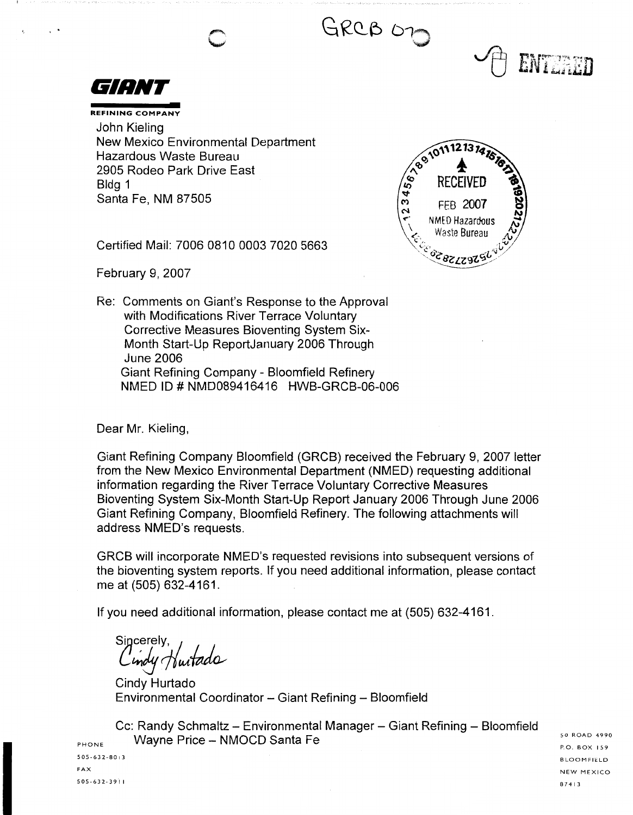GRCB OD



 $\cdot$   $\cdot$ 

**REFINING COMPANY**  John Kieling New Mexico Environmental Department Hazardous Waste Bureau 2905 Rodeo Park Drive East Bldg 1 Santa Fe, NM 87505



ENTERED

Certified Mail: 7006 0810 0003 7020 5663

February 9, 2007

Re: Comments on Giant's Response to the Approval with Modifications River Terrace Voluntary Corrective Measures Bioventing System Six-Month Start-Up ReportJanuary 2006 Through June 2006 Giant Refining Company - Bloomfield Refinery NMED ID# NMD089416416 HWB-GRCB-06-006

Dear Mr. Kieling,

Giant Refining Company Bloomfield (GRCB) received the February 9, 2007 letter from the New Mexico Environmental Department (NMED) requesting additional information regarding the River Terrace Voluntary Corrective Measures Bioventing System Six-Month Start-Up Report January 2006 Through June 2006 Giant Refining Company, Bloomfield Refinery. The following attachments will address NMED's requests.

GRCB will incorporate NMED's requested revisions into subsequent versions of the bioventing system reports. If you need additional information, please contact me at (505) 632-4161.

If you need additional information, please contact me at (505) 632-4161.

sincerely,<br>Cindy Huitado

Cindy Hurtado Environmental Coordinator - Giant Refining - Bloomfield

Cc: Randy Schmaltz - Environmental Manager - Giant Refining - Bloomfield Wayne Price - NMOCD Santa Fe

PHONE 505-632-8013 FAX 505-632-391 I

50 ROAD 4990 P.O. BOX 159 BLOOMFIELD NEW MEXICO 8 7 4 I 3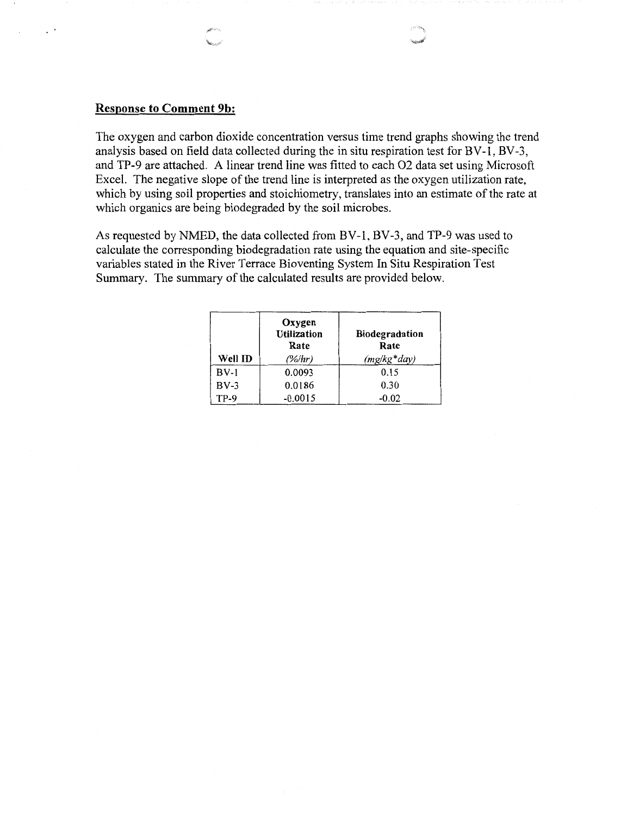## **Response to Comment 9b:**

 $\mathcal{L}^{\pm}$ 

The oxygen and carbon dioxide concentration versus time trend graphs showing the trend analysis based on field data collected during the in situ respiration test for BV-1, BV-3, and TP-9 are attached. A linear trend line was fitted to each 02 data set using Microsoft Excel. The negative slope of the trend line is interpreted as the oxygen utilization rate, which by using soil properties and stoichiometry, translates into an estimate of the rate at which organics are being biodegraded by the soil microbes.

As requested by NMED, the data collected from BV-1, BV-3, and TP-9 was used to calculate the corresponding biodegradation rate using the equation and site-specific variables stated in the River Terrace Bioventing System In Situ Respiration Test Summary. The summary of the calculated results are provided below.

| Well ID | Oxygen<br><b>Utilization</b><br>Rate<br>(%/hr) | <b>Biodegradation</b><br>Rate<br>$(mg/kg*day)$ |
|---------|------------------------------------------------|------------------------------------------------|
| $BV-1$  | 0.0093                                         | 0.15                                           |
| $BV-3$  | 0.0186                                         | 0.30                                           |
| $TP-9$  | $-0.0015$                                      | $-0.02$                                        |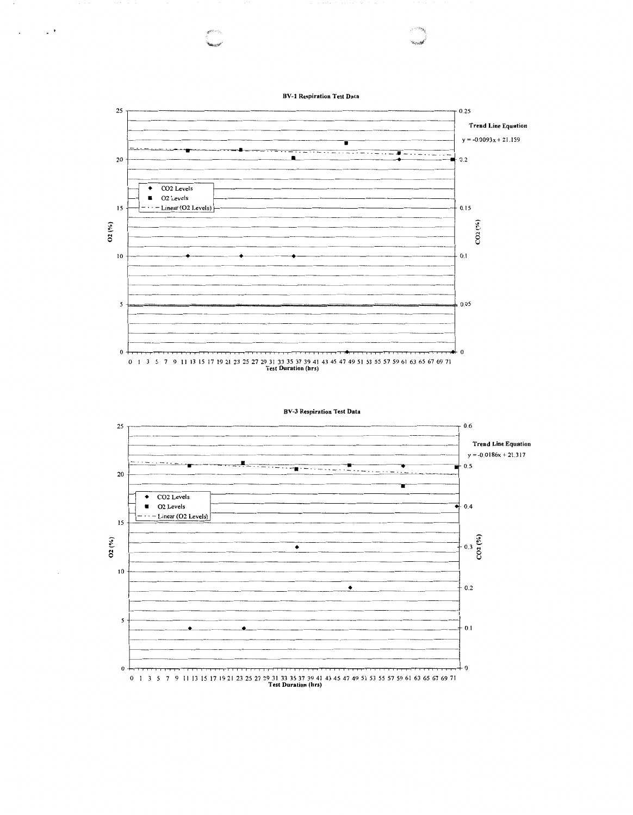**BV•l Respiration Test Data** 

 $\sim 10^4$ 

 $\ddot{\phantom{1}}$ 



| <b>BV-3 Respiration Test Data</b> |  |  |
|-----------------------------------|--|--|
|-----------------------------------|--|--|